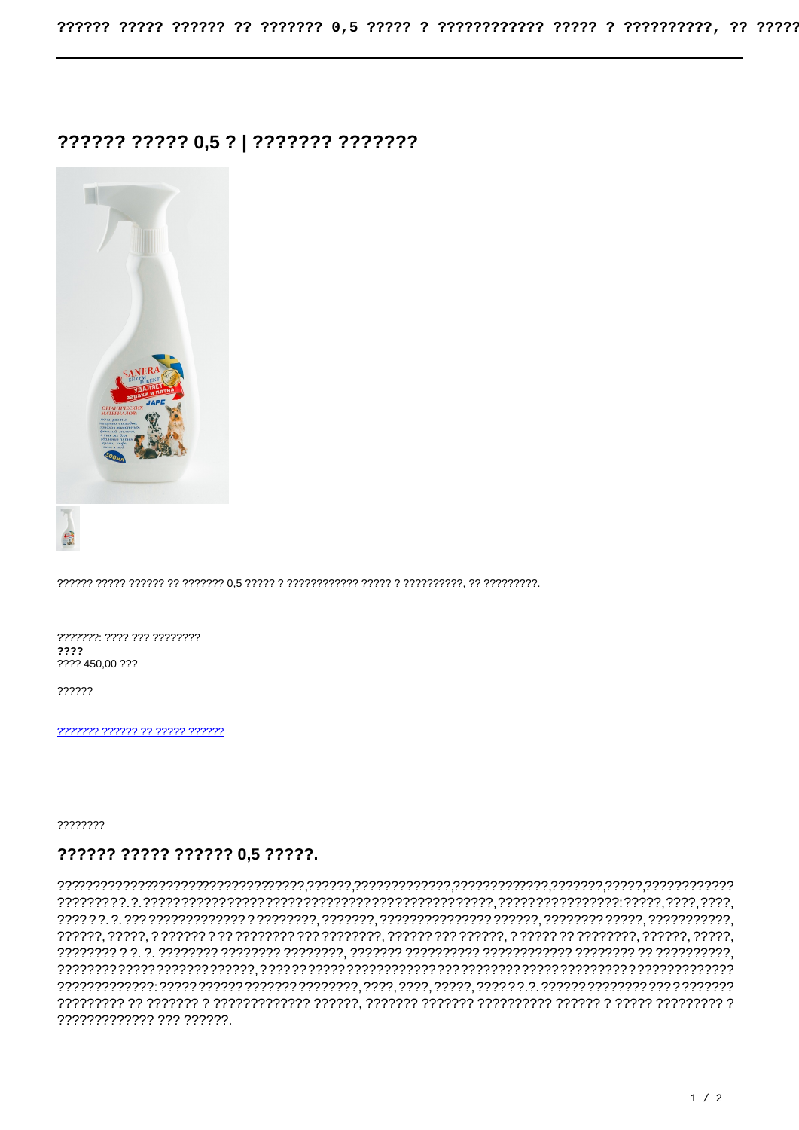## ?????? ????? 0,5 ? | ??????? ???????



???????: ???? ??? ???????? ???? ???? 450,00 ???

??????

777777 777777 77 77777 777777

????????

## ?????? ????? ?????? 0.5 ?????.

????????????? ??? ??????.